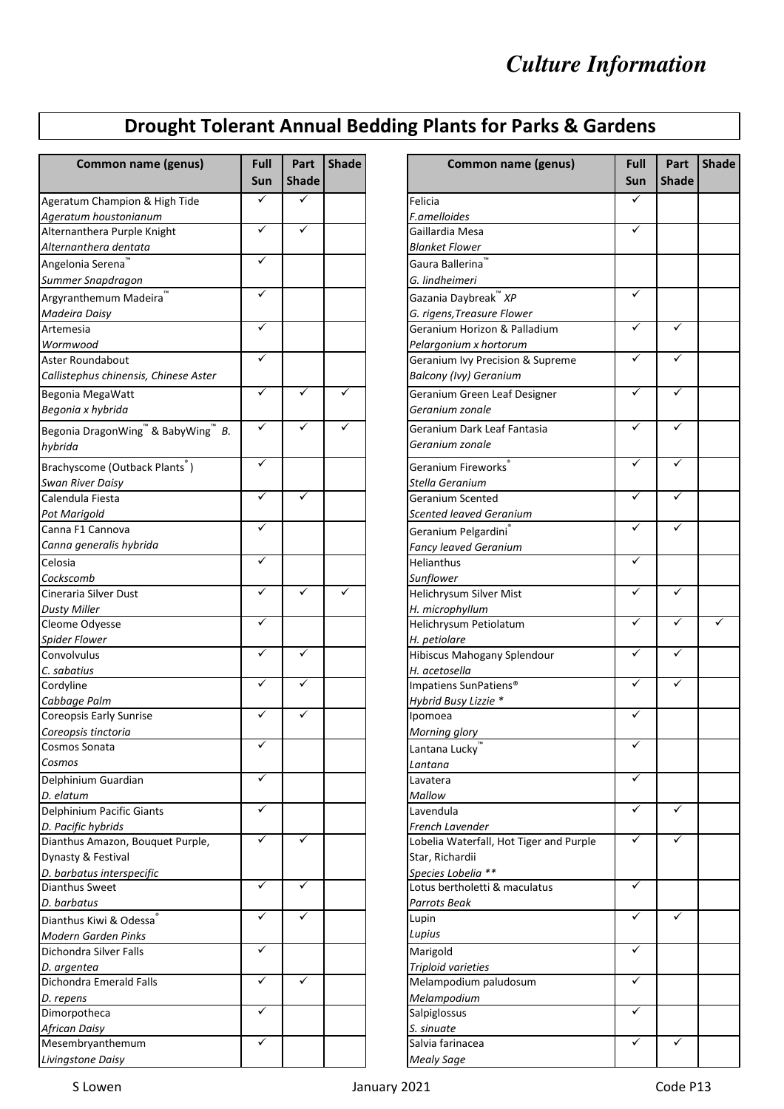## Drought Tolerant Annual Bedding Plants for Parks & Gardens

| Common name (genus)                         | Full<br>Sun | Part<br><b>Shade</b> | <b>Shade</b> | Common na                               |
|---------------------------------------------|-------------|----------------------|--------------|-----------------------------------------|
| Ageratum Champion & High Tide               | ✓           | ✓                    |              | Felicia                                 |
| Ageratum houstonianum                       |             |                      |              | F.amelloides                            |
| Alternanthera Purple Knight                 | ✓           | ✓                    |              | Gaillardia Mesa                         |
| Alternanthera dentata                       |             |                      |              | <b>Blanket Flower</b>                   |
| Angelonia Serena                            | ✓           |                      |              | Gaura Ballerina                         |
| Summer Snapdragon                           |             |                      |              | G. lindheimeri                          |
| Argyranthemum Madeira <sup>"</sup>          | ✓           |                      |              | Gazania Daybreak <sup>™</sup> Xi        |
| Madeira Daisy                               |             |                      |              | G. rigens, Treasure Flo                 |
| Artemesia                                   | ✓           |                      |              | Geranium Horizon &                      |
| Wormwood                                    |             |                      |              | Pelargonium x hortor                    |
| Aster Roundabout                            | ✓           |                      |              | Geranium Ivy Precisic                   |
| Callistephus chinensis, Chinese Aster       |             |                      |              | <b>Balcony (Ivy) Geraniu</b>            |
| Begonia MegaWatt                            | ✓           | ✓                    |              | Geranium Green Leaf                     |
| Begonia x hybrida                           |             |                      |              | Geranium zonale                         |
|                                             | ✓           | ✓                    |              |                                         |
| Begonia DragonWing & BabyWing B.<br>hybrida |             |                      |              | Geranium Dark Leaf F<br>Geranium zonale |
| Brachyscome (Outback Plants <sup>®</sup> )  | ✓           |                      |              | Geranium Fireworks <sup>®</sup>         |
| <b>Swan River Daisy</b>                     |             |                      |              | Stella Geranium                         |
| Calendula Fiesta                            | ✓           |                      |              | Geranium Scented                        |
| Pot Marigold                                |             |                      |              | <b>Scented leaved Gerar</b>             |
| Canna F1 Cannova                            | ✓           |                      |              | Geranium Pelgardini                     |
| Canna generalis hybrida                     |             |                      |              | Fancy leaved Geraniu                    |
| Celosia                                     | ✓           |                      |              | <b>Helianthus</b>                       |
| Cockscomb                                   |             |                      |              | Sunflower                               |
| Cineraria Silver Dust                       | ✓           |                      |              | Helichrysum Silver Mi                   |
| <b>Dusty Miller</b>                         |             |                      |              | H. microphyllum                         |
| Cleome Odyesse                              | ✓           |                      |              | Helichrysum Petiolatu                   |
| <b>Spider Flower</b>                        |             |                      |              | H. petiolare                            |
| Convolvulus                                 | ✓           | ✓                    |              | Hibiscus Mahogany S                     |
| C. sabatius                                 |             |                      |              | H. acetosella                           |
| Cordyline                                   | ✓           | ✓                    |              | <b>Impatiens SunPatiens</b>             |
| Cabbage Palm                                |             |                      |              | Hybrid Busy Lizzie *                    |
| Coreopsis Early Sunrise                     | ✓           | ✓                    |              | Ipomoea                                 |
| Coreopsis tinctoria                         |             |                      |              | Morning glory                           |
| Cosmos Sonata                               | ✓           |                      |              | Lantana Lucky                           |
| Cosmos                                      |             |                      |              | Lantana                                 |
| Delphinium Guardian                         | ✓           |                      |              | Lavatera                                |
| D. elatum                                   |             |                      |              | Mallow                                  |
| Delphinium Pacific Giants                   | ✓           |                      |              | Lavendula                               |
| D. Pacific hybrids                          |             |                      |              | French Lavender                         |
| Dianthus Amazon, Bouquet Purple,            | ✓           | ✓                    |              | Lobelia Waterfall, Ho                   |
| Dynasty & Festival                          |             |                      |              | Star, Richardii                         |
| D. barbatus interspecific                   |             |                      |              | Species Lobelia **                      |
| Dianthus Sweet                              | ✓           | ✓                    |              | Lotus bertholetti & m                   |
| D. barbatus                                 |             |                      |              | Parrots Beak                            |
| Dianthus Kiwi & Odessa                      | ✓           | ✓                    |              | Lupin                                   |
| <b>Modern Garden Pinks</b>                  |             |                      |              | Lupius                                  |
| Dichondra Silver Falls                      | ✓           |                      |              | Marigold                                |
| D. argentea                                 |             |                      |              | Triploid varieties                      |
| Dichondra Emerald Falls                     | ✓           | ✓                    |              | Melampodium paludo                      |
| D. repens                                   |             |                      |              | Melampodium                             |
| Dimorpotheca                                | ✓           |                      |              | Salpiglossus                            |
| African Daisy                               |             |                      |              | S. sinuate                              |
| Mesembryanthemum                            | ✓           |                      |              | Salvia farinacea                        |
| Livingstone Daisy                           |             |                      |              | <b>Mealy Sage</b>                       |

| ull                     | Part         | <b>Shade</b> | <b>Common name (genus)</b>                  | <b>Full</b>  | Part         | <b>Shade</b> |
|-------------------------|--------------|--------------|---------------------------------------------|--------------|--------------|--------------|
| un                      | <b>Shade</b> |              |                                             | Sun          | <b>Shade</b> |              |
| $\checkmark$            | ✓            |              | Felicia                                     | $\checkmark$ |              |              |
|                         |              |              | F.amelloides                                |              |              |              |
| $\checkmark$            | ✓            |              | Gaillardia Mesa                             | ✓            |              |              |
|                         |              |              | <b>Blanket Flower</b>                       |              |              |              |
| ✓                       |              |              | Gaura Ballerina <sup>™</sup>                |              |              |              |
|                         |              |              | G. lindheimeri                              |              |              |              |
| $\checkmark$            |              |              | Gazania Daybreak <sup>™</sup> XP            | $\checkmark$ |              |              |
|                         |              |              | G. rigens, Treasure Flower                  |              |              |              |
| $\checkmark$            |              |              | Geranium Horizon & Palladium                | ✓            | ✓            |              |
|                         |              |              | Pelargonium x hortorum                      |              |              |              |
| $\checkmark$            |              |              | Geranium Ivy Precision & Supreme            | ✓            | ✓            |              |
|                         |              |              | <b>Balcony (Ivy) Geranium</b>               |              |              |              |
| $\checkmark$            | ✓            | ✓            | Geranium Green Leaf Designer                | ✓            | ✓            |              |
|                         |              |              | Geranium zonale                             |              |              |              |
| $\checkmark$            |              | ✓            | Geranium Dark Leaf Fantasia                 | ✓            | ✓            |              |
|                         |              |              | Geranium zonale                             |              |              |              |
| $\checkmark$            |              |              |                                             |              |              |              |
|                         |              |              | Geranium Fireworks®                         | ✓            | ✓            |              |
|                         |              |              | Stella Geranium                             |              |              |              |
| $\checkmark$            | ✓            |              | Geranium Scented                            | ✓            | ✓            |              |
| $\overline{\checkmark}$ |              |              | Scented leaved Geranium                     |              |              |              |
|                         |              |              | Geranium Pelgardini®                        | ✓            | ✓            |              |
|                         |              |              | Fancy leaved Geranium                       |              |              |              |
| $\checkmark$            |              |              | Helianthus                                  | ✓            |              |              |
| $\checkmark$            |              | ✓            | Sunflower                                   | ✓            |              |              |
|                         | ✓            |              | Helichrysum Silver Mist                     |              | ✓            |              |
| $\checkmark$            |              |              | H. microphyllum                             | ✓            | ✓            | ✓            |
|                         |              |              | Helichrysum Petiolatum                      |              |              |              |
| $\checkmark$            | ✓            |              | H. petiolare<br>Hibiscus Mahogany Splendour | ✓            | ✓            |              |
|                         |              |              | H. acetosella                               |              |              |              |
| ✓                       | ✓            |              | Impatiens SunPatiens®                       | ✓            |              |              |
|                         |              |              | Hybrid Busy Lizzie *                        |              |              |              |
| $\checkmark$            | ✓            |              | Ipomoea                                     | ✓            |              |              |
|                         |              |              | Morning glory                               |              |              |              |
| $\checkmark$            |              |              | Lantana Lucky                               |              |              |              |
|                         |              |              | Lantana                                     |              |              |              |
| ✓                       |              |              | Lavatera                                    | ✓            |              |              |
|                         |              |              | Mallow                                      |              |              |              |
| $\checkmark$            |              |              | Lavendula                                   | ✓            | ✓            |              |
|                         |              |              | French Lavender                             |              |              |              |
| $\checkmark$            | ✓            |              | Lobelia Waterfall, Hot Tiger and Purple     | ✓            | ✓            |              |
|                         |              |              | Star, Richardii                             |              |              |              |
|                         |              |              | Species Lobelia **                          |              |              |              |
| $\overline{\checkmark}$ | ✓            |              | Lotus bertholetti & maculatus               | ✓            |              |              |
|                         |              |              | Parrots Beak                                |              |              |              |
| ✓                       |              |              | Lupin                                       | ✓            | ✓            |              |
|                         |              |              | Lupius                                      |              |              |              |
| $\checkmark$            |              |              | Marigold                                    | ✓            |              |              |
|                         |              |              | Triploid varieties                          |              |              |              |
| ✓                       | ✓            |              | Melampodium paludosum                       | ✓            |              |              |
|                         |              |              | Melampodium                                 |              |              |              |
| ✓                       |              |              | Salpiglossus                                | ✓            |              |              |
| $\checkmark$            |              |              | S. sinuate                                  |              |              |              |
|                         |              |              | Salvia farinacea                            | ✓            | ✓            |              |
|                         |              |              | <b>Mealy Sage</b>                           |              |              |              |